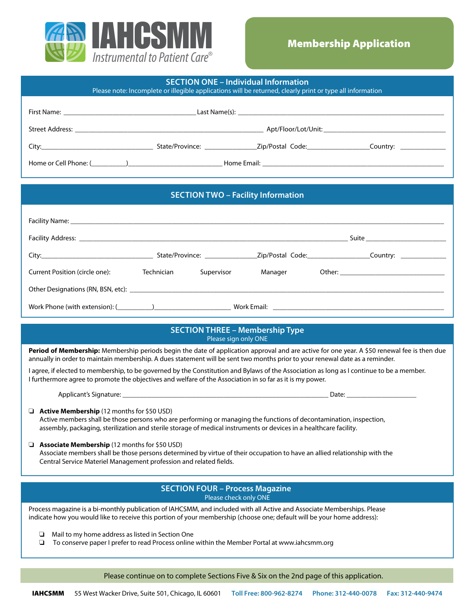

| <b>SECTION ONE - Individual Information</b><br>Please note: Incomplete or illegible applications will be returned, clearly print or type all information                                                                                                                                             |                          |                                        |                                                                                                                                             |  |  |  |
|------------------------------------------------------------------------------------------------------------------------------------------------------------------------------------------------------------------------------------------------------------------------------------------------------|--------------------------|----------------------------------------|---------------------------------------------------------------------------------------------------------------------------------------------|--|--|--|
|                                                                                                                                                                                                                                                                                                      |                          |                                        |                                                                                                                                             |  |  |  |
|                                                                                                                                                                                                                                                                                                      |                          |                                        |                                                                                                                                             |  |  |  |
|                                                                                                                                                                                                                                                                                                      |                          |                                        |                                                                                                                                             |  |  |  |
|                                                                                                                                                                                                                                                                                                      |                          |                                        |                                                                                                                                             |  |  |  |
|                                                                                                                                                                                                                                                                                                      |                          |                                        |                                                                                                                                             |  |  |  |
|                                                                                                                                                                                                                                                                                                      |                          |                                        |                                                                                                                                             |  |  |  |
| <b>SECTION TWO - Facility Information</b>                                                                                                                                                                                                                                                            |                          |                                        |                                                                                                                                             |  |  |  |
|                                                                                                                                                                                                                                                                                                      |                          |                                        |                                                                                                                                             |  |  |  |
|                                                                                                                                                                                                                                                                                                      |                          |                                        |                                                                                                                                             |  |  |  |
|                                                                                                                                                                                                                                                                                                      |                          |                                        |                                                                                                                                             |  |  |  |
| Current Position (circle one):                                                                                                                                                                                                                                                                       | Technician<br>Supervisor | Manager                                |                                                                                                                                             |  |  |  |
|                                                                                                                                                                                                                                                                                                      |                          |                                        |                                                                                                                                             |  |  |  |
|                                                                                                                                                                                                                                                                                                      |                          |                                        |                                                                                                                                             |  |  |  |
|                                                                                                                                                                                                                                                                                                      |                          | <b>SECTION THREE - Membership Type</b> |                                                                                                                                             |  |  |  |
|                                                                                                                                                                                                                                                                                                      |                          | Please sign only ONE                   |                                                                                                                                             |  |  |  |
|                                                                                                                                                                                                                                                                                                      |                          |                                        | Period of Membership: Membership periods begin the date of application approval and are active for one year. A \$50 renewal fee is then due |  |  |  |
| annually in order to maintain membership. A dues statement will be sent two months prior to your renewal date as a reminder.<br>I agree, if elected to membership, to be governed by the Constitution and Bylaws of the Association as long as I continue to be a member.                            |                          |                                        |                                                                                                                                             |  |  |  |
| I furthermore agree to promote the objectives and welfare of the Association in so far as it is my power.                                                                                                                                                                                            |                          |                                        |                                                                                                                                             |  |  |  |
|                                                                                                                                                                                                                                                                                                      |                          |                                        |                                                                                                                                             |  |  |  |
| $\Box$ <b>Active Membership</b> (12 months for \$50 USD)<br>Active members shall be those persons who are performing or managing the functions of decontamination, inspection,<br>assembly, packaging, sterilization and sterile storage of medical instruments or devices in a healthcare facility. |                          |                                        |                                                                                                                                             |  |  |  |
| Associate Membership (12 months for \$50 USD)<br>Associate members shall be those persons determined by virtue of their occupation to have an allied relationship with the<br>Central Service Materiel Management profession and related fields.                                                     |                          |                                        |                                                                                                                                             |  |  |  |
| <b>SECTION FOUR - Process Magazine</b><br>Please check only ONE                                                                                                                                                                                                                                      |                          |                                        |                                                                                                                                             |  |  |  |

Process magazine is a bi-monthly publication of IAHCSMM, and included with all Active and Associate Memberships. Please indicate how you would like to receive this portion of your membership (choose one; default will be your home address):

❏ Mail to my home address as listed in Section One

❏ To conserve paper I prefer to read Process online within the Member Portal at www.iahcsmm.org

Please continue on to complete Sections Five & Six on the 2nd page of this application.